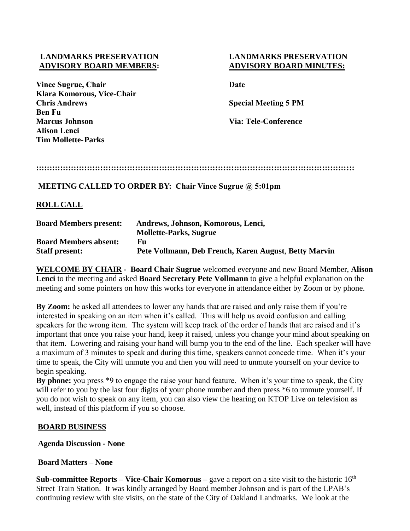## **LANDMARKS PRESERVATION LANDMARKS PRESERVATION ADVISORY BOARD MEMBERS: ADVISORY BOARD MINUTES:**

**Vince Sugrue, Chair Date Klara Komorous, Vice-Chair Chris Andrews Special Meeting 5 PM Ben Fu Marcus Johnson Via: Tele-Conference Alison Lenci Tim Mollette-Parks**

# **:::::::::::::::::::::::::::::::::::::::::::::::::::::::::::::::::::::::::::::::::::::::::::::::::::::::::::::::::::::::**

## **MEETING CALLED TO ORDER BY: Chair Vince Sugrue @ 5:01pm**

# **ROLL CALL**

| <b>Board Members present:</b> | Andrews, Johnson, Komorous, Lenci,                    |
|-------------------------------|-------------------------------------------------------|
|                               | <b>Mollette-Parks, Sugrue</b>                         |
| <b>Board Members absent:</b>  | Fu                                                    |
| <b>Staff present:</b>         | Pete Vollmann, Deb French, Karen August, Betty Marvin |

**WELCOME BY CHAIR - Board Chair Sugrue** welcomed everyone and new Board Member, **Alison Lenci** to the meeting and asked **Board Secretary Pete Vollmann** to give a helpful explanation on the meeting and some pointers on how this works for everyone in attendance either by Zoom or by phone.

**By Zoom:** he asked all attendees to lower any hands that are raised and only raise them if you're interested in speaking on an item when it's called. This will help us avoid confusion and calling speakers for the wrong item. The system will keep track of the order of hands that are raised and it's important that once you raise your hand, keep it raised, unless you change your mind about speaking on that item. Lowering and raising your hand will bump you to the end of the line. Each speaker will have a maximum of 3 minutes to speak and during this time, speakers cannot concede time. When it's your time to speak, the City will unmute you and then you will need to unmute yourself on your device to begin speaking.

**By phone:** you press \*9 to engage the raise your hand feature. When it's your time to speak, the City will refer to you by the last four digits of your phone number and then press  $*6$  to unmute yourself. If you do not wish to speak on any item, you can also view the hearing on KTOP Live on television as well, instead of this platform if you so choose.

## **BOARD BUSINESS**

**Agenda Discussion - None** 

# **Board Matters – None**

**Sub-committee Reports – Vice-Chair Komorous – gave a report on a site visit to the historic 16<sup>th</sup>** Street Train Station. It was kindly arranged by Board member Johnson and is part of the LPAB's continuing review with site visits, on the state of the City of Oakland Landmarks. We look at the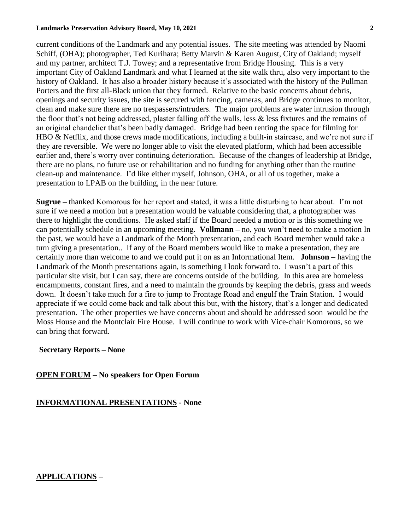#### **Landmarks Preservation Advisory Board, May 10, 2021 2**

current conditions of the Landmark and any potential issues. The site meeting was attended by Naomi Schiff, (OHA); photographer, Ted Kurihara; Betty Marvin & Karen August, City of Oakland; myself and my partner, architect T.J. Towey; and a representative from Bridge Housing. This is a very important City of Oakland Landmark and what I learned at the site walk thru, also very important to the history of Oakland. It has also a broader history because it's associated with the history of the Pullman Porters and the first all-Black union that they formed. Relative to the basic concerns about debris, openings and security issues, the site is secured with fencing, cameras, and Bridge continues to monitor, clean and make sure there are no trespassers/intruders. The major problems are water intrusion through the floor that's not being addressed, plaster falling off the walls, less & less fixtures and the remains of an original chandelier that's been badly damaged. Bridge had been renting the space for filming for HBO & Netflix, and those crews made modifications, including a built-in staircase, and we're not sure if they are reversible. We were no longer able to visit the elevated platform, which had been accessible earlier and, there's worry over continuing deterioration. Because of the changes of leadership at Bridge, there are no plans, no future use or rehabilitation and no funding for anything other than the routine clean-up and maintenance. I'd like either myself, Johnson, OHA, or all of us together, make a presentation to LPAB on the building, in the near future.

**Sugrue –** thanked Komorous for her report and stated, it was a little disturbing to hear about. I'm not sure if we need a motion but a presentation would be valuable considering that, a photographer was there to highlight the conditions. He asked staff if the Board needed a motion or is this something we can potentially schedule in an upcoming meeting. **Vollmann –** no, you won't need to make a motion In the past, we would have a Landmark of the Month presentation, and each Board member would take a turn giving a presentation.. If any of the Board members would like to make a presentation, they are certainly more than welcome to and we could put it on as an Informational Item. **Johnson –** having the Landmark of the Month presentations again, is something I look forward to. I wasn't a part of this particular site visit, but I can say, there are concerns outside of the building. In this area are homeless encampments, constant fires, and a need to maintain the grounds by keeping the debris, grass and weeds down. It doesn't take much for a fire to jump to Frontage Road and engulf the Train Station. I would appreciate if we could come back and talk about this but, with the history, that's a longer and dedicated presentation. The other properties we have concerns about and should be addressed soon would be the Moss House and the Montclair Fire House. I will continue to work with Vice-chair Komorous, so we can bring that forward.

## **Secretary Reports – None**

 **OPEN FORUM – No speakers for Open Forum**

## **INFORMATIONAL PRESENTATIONS** - **None**

## **APPLICATIONS –**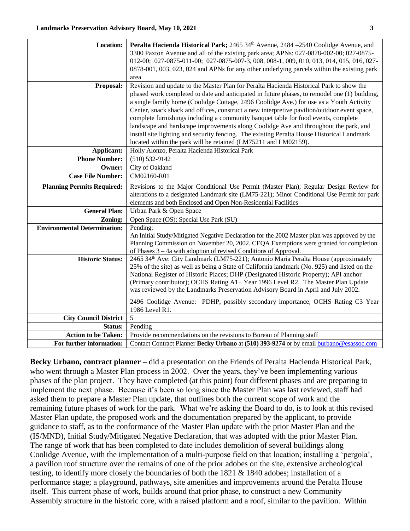| <b>Location:</b>                    | Peralta Hacienda Historical Park; 2465 34th Avenue, 2484 -2540 Coolidge Avenue, and                                                                                                   |
|-------------------------------------|---------------------------------------------------------------------------------------------------------------------------------------------------------------------------------------|
|                                     | 3300 Paxton Avenue and all of the existing park area; APNs: 027-0878-002-00; 027-0875-                                                                                                |
|                                     | 012-00; 027-0875-011-00; 027-0875-007-3, 008, 008-1, 009, 010, 013, 014, 015, 016, 027-                                                                                               |
|                                     | 0878-001, 003, 023, 024 and APNs for any other underlying parcels within the existing park                                                                                            |
|                                     | area<br>Revision and update to the Master Plan for Peralta Hacienda Historical Park to show the                                                                                       |
| Proposal:                           | phased work completed to date and anticipated in future phases, to remodel one (1) building,                                                                                          |
|                                     | a single family home (Coolidge Cottage, 2496 Coolidge Ave.) for use as a Youth Activity                                                                                               |
|                                     | Center, snack shack and offices, construct a new interpretive pavilion/outdoor event space,                                                                                           |
|                                     | complete furnishings including a community banquet table for food events, complete                                                                                                    |
|                                     | landscape and hardscape improvements along Coolidge Ave and throughout the park, and                                                                                                  |
|                                     | install site lighting and security fencing. The existing Peralta House Historical Landmark                                                                                            |
|                                     | located within the park will be retained (LM75211 and LM02159).                                                                                                                       |
| Applicant:                          | Holly Alonzo, Peralta Hacienda Historical Park                                                                                                                                        |
| <b>Phone Number:</b>                | $(510) 532 - 9142$                                                                                                                                                                    |
| Owner:                              | City of Oakland                                                                                                                                                                       |
| <b>Case File Number:</b>            | CM02160-R01                                                                                                                                                                           |
| <b>Planning Permits Required:</b>   | Revisions to the Major Conditional Use Permit (Master Plan); Regular Design Review for                                                                                                |
|                                     | alterations to a designated Landmark site (LM75-221); Minor Conditional Use Permit for park                                                                                           |
|                                     | elements and both Enclosed and Open Non-Residential Facilities                                                                                                                        |
| <b>General Plan:</b>                | Urban Park & Open Space                                                                                                                                                               |
| Zoning:                             | Open Space (OS); Special Use Park (SU)                                                                                                                                                |
| <b>Environmental Determination:</b> | Pending;                                                                                                                                                                              |
|                                     | An Initial Study/Mitigated Negative Declaration for the 2002 Master plan was approved by the<br>Planning Commission on November 20, 2002. CEQA Exemptions were granted for completion |
|                                     | of Phases $3 - 4a$ with adoption of revised Conditions of Approval.                                                                                                                   |
| <b>Historic Status:</b>             | 2465 34th Ave: City Landmark (LM75-221); Antonio Maria Peralta House (approximately                                                                                                   |
|                                     | 25% of the site) as well as being a State of California landmark (No. 925) and listed on the                                                                                          |
|                                     | National Register of Historic Places; DHP (Designated Historic Property); API anchor                                                                                                  |
|                                     | (Primary contributor); OCHS Rating A1+ Year 1996 Level R2. The Master Plan Update                                                                                                     |
|                                     | was reviewed by the Landmarks Preservation Advisory Board in April and July 2002.                                                                                                     |
|                                     | 2496 Coolidge Avenue: PDHP, possibly secondary importance, OCHS Rating C3 Year                                                                                                        |
|                                     | 1986 Level R1.                                                                                                                                                                        |
| <b>City Council District</b>        | 5                                                                                                                                                                                     |
| Status:                             | Pending                                                                                                                                                                               |
| <b>Action to be Taken:</b>          | Provide recommendations on the revisions to Bureau of Planning staff                                                                                                                  |
| For further information:            | Contact Contract Planner Becky Urbano at (510) 393-9274 or by email burbano@esassoc.com                                                                                               |

**Becky Urbano, contract planner –** did a presentation on the Friends of Peralta Hacienda Historical Park, who went through a Master Plan process in 2002. Over the years, they've been implementing various phases of the plan project. They have completed (at this point) four different phases and are preparing to implement the next phase. Because it's been so long since the Master Plan was last reviewed, staff had asked them to prepare a Master Plan update, that outlines both the current scope of work and the remaining future phases of work for the park. What we're asking the Board to do, is to look at this revised Master Plan update, the proposed work and the documentation prepared by the applicant, to provide guidance to staff, as to the conformance of the Master Plan update with the prior Master Plan and the (IS/MND), Initial Study/Mitigated Negative Declaration, that was adopted with the prior Master Plan. The range of work that has been completed to date includes demolition of several buildings along Coolidge Avenue, with the implementation of a multi-purpose field on that location; installing a 'pergola', a pavilion roof structure over the remains of one of the prior adobes on the site, extensive archeological testing, to identify more closely the boundaries of both the 1821 & 1840 adobes; installation of a performance stage; a playground, pathways, site amenities and improvements around the Peralta House itself. This current phase of work, builds around that prior phase, to construct a new Community Assembly structure in the historic core, with a raised platform and a roof, similar to the pavilion. Within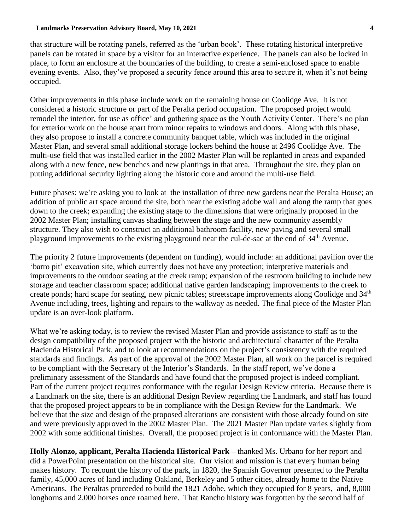#### **Landmarks Preservation Advisory Board, May 10, 2021 4**

that structure will be rotating panels, referred as the 'urban book'. These rotating historical interpretive panels can be rotated in space by a visitor for an interactive experience. The panels can also be locked in place, to form an enclosure at the boundaries of the building, to create a semi-enclosed space to enable evening events. Also, they've proposed a security fence around this area to secure it, when it's not being occupied.

Other improvements in this phase include work on the remaining house on Coolidge Ave. It is not considered a historic structure or part of the Peralta period occupation. The proposed project would remodel the interior, for use as office' and gathering space as the Youth Activity Center. There's no plan for exterior work on the house apart from minor repairs to windows and doors. Along with this phase, they also propose to install a concrete community banquet table, which was included in the original Master Plan, and several small additional storage lockers behind the house at 2496 Coolidge Ave. The multi-use field that was installed earlier in the 2002 Master Plan will be replanted in areas and expanded along with a new fence, new benches and new plantings in that area. Throughout the site, they plan on putting additional security lighting along the historic core and around the multi-use field.

Future phases: we're asking you to look at the installation of three new gardens near the Peralta House; an addition of public art space around the site, both near the existing adobe wall and along the ramp that goes down to the creek; expanding the existing stage to the dimensions that were originally proposed in the 2002 Master Plan; installing canvas shading between the stage and the new community assembly structure. They also wish to construct an additional bathroom facility, new paving and several small playground improvements to the existing playground near the cul-de-sac at the end of 34<sup>th</sup> Avenue.

The priority 2 future improvements (dependent on funding), would include: an additional pavilion over the 'barro pit' excavation site, which currently does not have any protection; interpretive materials and improvements to the outdoor seating at the creek ramp; expansion of the restroom building to include new storage and teacher classroom space; additional native garden landscaping; improvements to the creek to create ponds; hard scape for seating, new picnic tables; streetscape improvements along Coolidge and 34<sup>th</sup> Avenue including, trees, lighting and repairs to the walkway as needed. The final piece of the Master Plan update is an over-look platform.

What we're asking today, is to review the revised Master Plan and provide assistance to staff as to the design compatibility of the proposed project with the historic and architectural character of the Peralta Hacienda Historical Park, and to look at recommendations on the project's consistency with the required standards and findings. As part of the approval of the 2002 Master Plan, all work on the parcel is required to be compliant with the Secretary of the Interior's Standards. In the staff report, we've done a preliminary assessment of the Standards and have found that the proposed project is indeed compliant. Part of the current project requires conformance with the regular Design Review criteria. Because there is a Landmark on the site, there is an additional Design Review regarding the Landmark, and staff has found that the proposed project appears to be in compliance with the Design Review for the Landmark. We believe that the size and design of the proposed alterations are consistent with those already found on site and were previously approved in the 2002 Master Plan. The 2021 Master Plan update varies slightly from 2002 with some additional finishes. Overall, the proposed project is in conformance with the Master Plan.

**Holly Alonzo, applicant, Peralta Hacienda Historical Park –** thanked Ms. Urbano for her report and did a PowerPoint presentation on the historical site. Our vision and mission is that every human being makes history. To recount the history of the park, in 1820, the Spanish Governor presented to the Peralta family, 45,000 acres of land including Oakland, Berkeley and 5 other cities, already home to the Native Americans. The Peraltas proceeded to build the 1821 Adobe, which they occupied for 8 years, and, 8,000 longhorns and 2,000 horses once roamed here. That Rancho history was forgotten by the second half of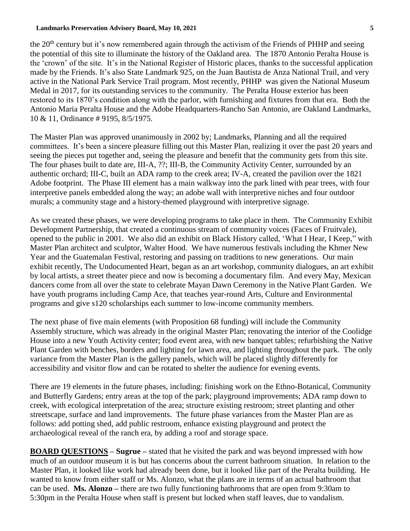#### **Landmarks Preservation Advisory Board, May 10, 2021 5**

the 20<sup>th</sup> century but it's now remembered again through the activism of the Friends of PHHP and seeing the potential of this site to illuminate the history of the Oakland area. The 1870 Antonio Peralta House is the 'crown' of the site. It's in the National Register of Historic places, thanks to the successful application made by the Friends. It's also State Landmark 925, on the Juan Bautista de Anza National Trail, and very active in the National Park Service Trail program. Most recently, PHHP was given the National Museum Medal in 2017, for its outstanding services to the community. The Peralta House exterior has been restored to its 1870's condition along with the parlor, with furnishing and fixtures from that era. Both the Antonio Maria Peralta House and the Adobe Headquarters-Rancho San Antonio, are Oakland Landmarks, 10 & 11, Ordinance # 9195, 8/5/1975.

The Master Plan was approved unanimously in 2002 by; Landmarks, Planning and all the required committees. It's been a sincere pleasure filling out this Master Plan, realizing it over the past 20 years and seeing the pieces put together and, seeing the pleasure and benefit that the community gets from this site. The four phases built to date are, III-A, ??; III-B, the Community Activity Center, surrounded by an authentic orchard; III-C, built an ADA ramp to the creek area; IV-A, created the pavilion over the 1821 Adobe footprint. The Phase III element has a main walkway into the park lined with pear trees, with four interpretive panels embedded along the way; an adobe wall with interpretive niches and four outdoor murals; a community stage and a history-themed playground with interpretive signage.

As we created these phases, we were developing programs to take place in them. The Community Exhibit Development Partnership, that created a continuous stream of community voices (Faces of Fruitvale), opened to the public in 2001. We also did an exhibit on Black History called, 'What I Hear, I Keep," with Master Plan architect and sculptor, Walter Hood. We have numerous festivals including the Khmer New Year and the Guatemalan Festival, restoring and passing on traditions to new generations. Our main exhibit recently, The Undocumented Heart, began as an art workshop, community dialogues, an art exhibit by local artists, a street theater piece and now is becoming a documentary film. And every May, Mexican dancers come from all over the state to celebrate Mayan Dawn Ceremony in the Native Plant Garden. We have youth programs including Camp Ace, that teaches year-round Arts, Culture and Environmental programs and give s120 scholarships each summer to low-income community members.

The next phase of five main elements (with Proposition 68 funding) will include the Community Assembly structure, which was already in the original Master Plan; renovating the interior of the Coolidge House into a new Youth Activity center; food event area, with new banquet tables; refurbishing the Native Plant Garden with benches, borders and lighting for lawn area, and lighting throughout the park. The only variance from the Master Plan is the gallery panels, which will be placed slightly differently for accessibility and visitor flow and can be rotated to shelter the audience for evening events.

There are 19 elements in the future phases, including: finishing work on the Ethno-Botanical, Community and Butterfly Gardens; entry areas at the top of the park; playground improvements; ADA ramp down to creek, with ecological interpretation of the area; structure existing restroom; street planting and other streetscape, surface and land improvements. The future phase variances from the Master Plan are as follows: add potting shed, add public restroom, enhance existing playground and protect the archaeological reveal of the ranch era, by adding a roof and storage space.

**BOARD QUESTIONS – Sugrue –** stated that he visited the park and was beyond impressed with how much of an outdoor museum it is but has concerns about the current bathroom situation. In relation to the Master Plan, it looked like work had already been done, but it looked like part of the Peralta building. He wanted to know from either staff or Ms. Alonzo, what the plans are in terms of an actual bathroom that can be used. **Ms. Alonzo –** there are two fully functioning bathrooms that are open from 9:30am to 5:30pm in the Peralta House when staff is present but locked when staff leaves, due to vandalism.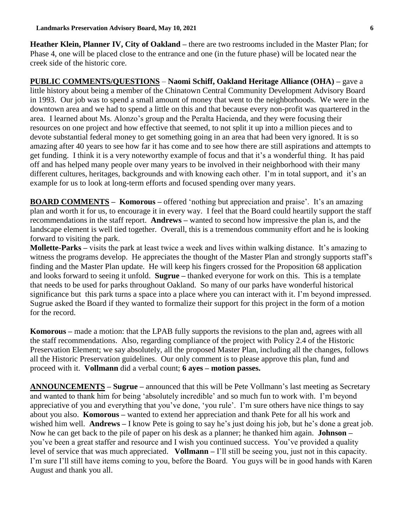**Heather Klein, Planner IV, City of Oakland –** there are two restrooms included in the Master Plan; for Phase 4, one will be placed close to the entrance and one (in the future phase) will be located near the creek side of the historic core.

**PUBLIC COMMENTS/QUESTIONS** – **Naomi Schiff, Oakland Heritage Alliance (OHA) –** gave a little history about being a member of the Chinatown Central Community Development Advisory Board in 1993. Our job was to spend a small amount of money that went to the neighborhoods. We were in the downtown area and we had to spend a little on this and that because every non-profit was quartered in the area. I learned about Ms. Alonzo's group and the Peralta Hacienda, and they were focusing their resources on one project and how effective that seemed, to not split it up into a million pieces and to devote substantial federal money to get something going in an area that had been very ignored. It is so amazing after 40 years to see how far it has come and to see how there are still aspirations and attempts to get funding. I think it is a very noteworthy example of focus and that it's a wonderful thing. It has paid off and has helped many people over many years to be involved in their neighborhood with their many different cultures, heritages, backgrounds and with knowing each other. I'm in total support, and it's an example for us to look at long-term efforts and focused spending over many years.

**BOARD COMMENTS – Komorous –** offered 'nothing but appreciation and praise'. It's an amazing plan and worth it for us, to encourage it in every way. I feel that the Board could heartily support the staff recommendations in the staff report. **Andrews –** wanted to second how impressive the plan is, and the landscape element is well tied together. Overall, this is a tremendous community effort and he is looking forward to visiting the park.

**Mollette-Parks –** visits the park at least twice a week and lives within walking distance. It's amazing to witness the programs develop. He appreciates the thought of the Master Plan and strongly supports staff's finding and the Master Plan update. He will keep his fingers crossed for the Proposition 68 application and looks forward to seeing it unfold. **Sugrue –** thanked everyone for work on this. This is a template that needs to be used for parks throughout Oakland. So many of our parks have wonderful historical significance but this park turns a space into a place where you can interact with it. I'm beyond impressed. Sugrue asked the Board if they wanted to formalize their support for this project in the form of a motion for the record.

**Komorous –** made a motion: that the LPAB fully supports the revisions to the plan and, agrees with all the staff recommendations. Also, regarding compliance of the project with Policy 2.4 of the Historic Preservation Element; we say absolutely, all the proposed Master Plan, including all the changes, follows all the Historic Preservation guidelines. Our only comment is to please approve this plan, fund and proceed with it. **Vollmann** did a verbal count; **6 ayes – motion passes.**

**ANNOUNCEMENTS – Sugrue –** announced that this will be Pete Vollmann's last meeting as Secretary and wanted to thank him for being 'absolutely incredible' and so much fun to work with. I'm beyond appreciative of you and everything that you've done, 'you rule'. I'm sure others have nice things to say about you also. **Komorous –** wanted to extend her appreciation and thank Pete for all his work and wished him well. **Andrews –** I know Pete is going to say he's just doing his job, but he's done a great job. Now he can get back to the pile of paper on his desk as a planner; he thanked him again. **Johnson –** you've been a great staffer and resource and I wish you continued success. You've provided a quality level of service that was much appreciated. **Vollmann –** I'll still be seeing you, just not in this capacity. I'm sure I'll still have items coming to you, before the Board. You guys will be in good hands with Karen August and thank you all.